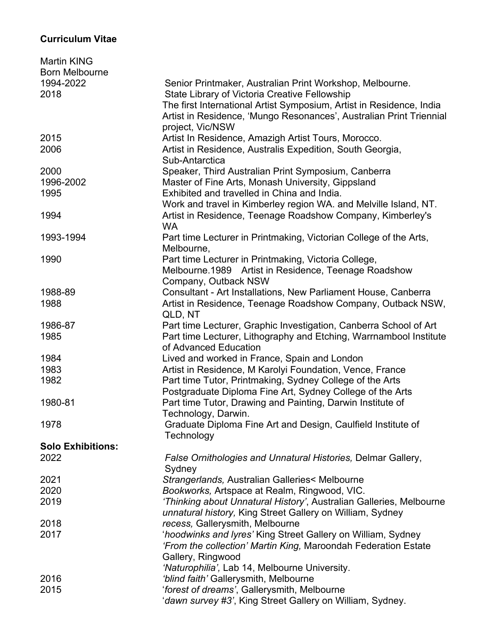## **Curriculum Vitae**

| <b>Martin KING</b>       |                                                                      |
|--------------------------|----------------------------------------------------------------------|
| <b>Born Melbourne</b>    |                                                                      |
| 1994-2022                | Senior Printmaker, Australian Print Workshop, Melbourne.             |
| 2018                     | State Library of Victoria Creative Fellowship                        |
|                          | The first International Artist Symposium, Artist in Residence, India |
|                          | Artist in Residence, 'Mungo Resonances', Australian Print Triennial  |
|                          | project, Vic/NSW                                                     |
| 2015                     | Artist In Residence, Amazigh Artist Tours, Morocco.                  |
| 2006                     | Artist in Residence, Australis Expedition, South Georgia,            |
|                          | Sub-Antarctica                                                       |
| 2000                     | Speaker, Third Australian Print Symposium, Canberra                  |
| 1996-2002                | Master of Fine Arts, Monash University, Gippsland                    |
| 1995                     | Exhibited and travelled in China and India.                          |
|                          | Work and travel in Kimberley region WA. and Melville Island, NT.     |
| 1994                     | Artist in Residence, Teenage Roadshow Company, Kimberley's           |
|                          | <b>WA</b>                                                            |
| 1993-1994                | Part time Lecturer in Printmaking, Victorian College of the Arts,    |
|                          | Melbourne,                                                           |
| 1990                     | Part time Lecturer in Printmaking, Victoria College,                 |
|                          | Melbourne.1989 Artist in Residence, Teenage Roadshow                 |
|                          | Company, Outback NSW                                                 |
| 1988-89                  | Consultant - Art Installations, New Parliament House, Canberra       |
| 1988                     | Artist in Residence, Teenage Roadshow Company, Outback NSW.          |
|                          | QLD, NT                                                              |
| 1986-87                  | Part time Lecturer, Graphic Investigation, Canberra School of Art    |
| 1985                     | Part time Lecturer, Lithography and Etching, Warrnambool Institute   |
|                          | of Advanced Education                                                |
| 1984                     | Lived and worked in France, Spain and London                         |
| 1983                     | Artist in Residence, M Karolyi Foundation, Vence, France             |
| 1982                     | Part time Tutor, Printmaking, Sydney College of the Arts             |
|                          | Postgraduate Diploma Fine Art, Sydney College of the Arts            |
| 1980-81                  | Part time Tutor, Drawing and Painting, Darwin Institute of           |
|                          | Technology, Darwin.                                                  |
| 1978                     | Graduate Diploma Fine Art and Design, Caulfield Institute of         |
|                          | Technology                                                           |
| <b>Solo Exhibitions:</b> |                                                                      |
| 2022                     | False Ornithologies and Unnatural Histories, Delmar Gallery,         |
|                          | Sydney                                                               |
| 2021                     |                                                                      |
|                          | Strangerlands, Australian Galleries< Melbourne                       |
| 2020                     | Bookworks, Artspace at Realm, Ringwood, VIC.                         |
| 2019                     | 'Thinking about Unnatural History', Australian Galleries, Melbourne  |
|                          | unnatural history, King Street Gallery on William, Sydney            |
| 2018                     | recess, Gallerysmith, Melbourne                                      |
| 2017                     | 'hoodwinks and lyres' King Street Gallery on William, Sydney         |
|                          | 'From the collection' Martin King, Maroondah Federation Estate       |
|                          | Gallery, Ringwood                                                    |
|                          | 'Naturophilia', Lab 14, Melbourne University.                        |
| 2016                     | 'blind faith' Gallerysmith, Melbourne                                |
| 2015                     | 'forest of dreams', Gallerysmith, Melbourne                          |
|                          | 'dawn survey #3', King Street Gallery on William, Sydney.            |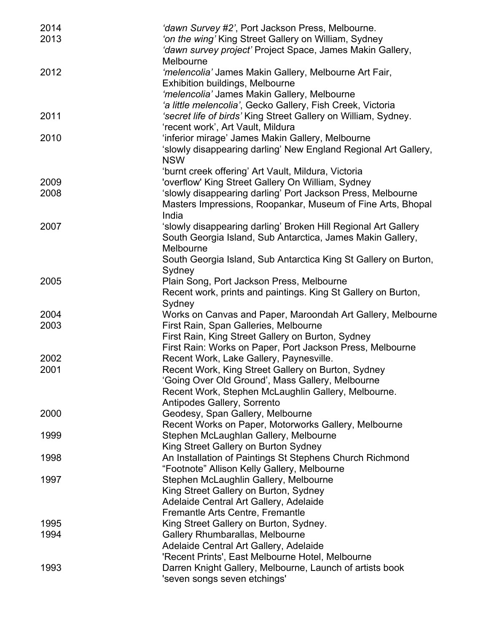| 2014<br>2013 | 'dawn Survey #2', Port Jackson Press, Melbourne.<br>'on the wing' King Street Gallery on William, Sydney |
|--------------|----------------------------------------------------------------------------------------------------------|
|              | 'dawn survey project' Project Space, James Makin Gallery,<br>Melbourne                                   |
| 2012         | 'melencolia' James Makin Gallery, Melbourne Art Fair,                                                    |
|              | <b>Exhibition buildings, Melbourne</b>                                                                   |
|              | 'melencolia' James Makin Gallery, Melbourne                                                              |
|              | 'a little melencolia', Gecko Gallery, Fish Creek, Victoria                                               |
| 2011         | 'secret life of birds' King Street Gallery on William, Sydney.                                           |
|              | 'recent work', Art Vault, Mildura                                                                        |
| 2010         | 'inferior mirage' James Makin Gallery, Melbourne                                                         |
|              | 'slowly disappearing darling' New England Regional Art Gallery,                                          |
|              | <b>NSW</b>                                                                                               |
|              | 'burnt creek offering' Art Vault, Mildura, Victoria                                                      |
| 2009         | 'overflow' King Street Gallery On William, Sydney                                                        |
| 2008         | 'slowly disappearing darling' Port Jackson Press, Melbourne                                              |
|              | Masters Impressions, Roopankar, Museum of Fine Arts, Bhopal                                              |
|              | India                                                                                                    |
| 2007         | 'slowly disappearing darling' Broken Hill Regional Art Gallery                                           |
|              | South Georgia Island, Sub Antarctica, James Makin Gallery,                                               |
|              | Melbourne                                                                                                |
|              | South Georgia Island, Sub Antarctica King St Gallery on Burton,                                          |
|              | Sydney                                                                                                   |
| 2005         | Plain Song, Port Jackson Press, Melbourne                                                                |
|              | Recent work, prints and paintings. King St Gallery on Burton,                                            |
|              | Sydney                                                                                                   |
| 2004         | Works on Canvas and Paper, Maroondah Art Gallery, Melbourne                                              |
| 2003         | First Rain, Span Galleries, Melbourne                                                                    |
|              | First Rain, King Street Gallery on Burton, Sydney                                                        |
|              | First Rain: Works on Paper, Port Jackson Press, Melbourne                                                |
| 2002         | Recent Work, Lake Gallery, Paynesville.                                                                  |
| 2001         | Recent Work, King Street Gallery on Burton, Sydney                                                       |
|              | 'Going Over Old Ground', Mass Gallery, Melbourne                                                         |
|              | Recent Work, Stephen McLaughlin Gallery, Melbourne.                                                      |
|              | Antipodes Gallery, Sorrento                                                                              |
| 2000         | Geodesy, Span Gallery, Melbourne                                                                         |
|              | Recent Works on Paper, Motorworks Gallery, Melbourne                                                     |
| 1999         | Stephen McLaughlan Gallery, Melbourne                                                                    |
|              | King Street Gallery on Burton Sydney                                                                     |
| 1998         | An Installation of Paintings St Stephens Church Richmond                                                 |
|              | "Footnote" Allison Kelly Gallery, Melbourne                                                              |
| 1997         | Stephen McLaughlin Gallery, Melbourne                                                                    |
|              | King Street Gallery on Burton, Sydney                                                                    |
|              | Adelaide Central Art Gallery, Adelaide                                                                   |
|              | Fremantle Arts Centre, Fremantle                                                                         |
| 1995         | King Street Gallery on Burton, Sydney.                                                                   |
| 1994         | Gallery Rhumbarallas, Melbourne                                                                          |
|              | Adelaide Central Art Gallery, Adelaide                                                                   |
|              | 'Recent Prints', East Melbourne Hotel, Melbourne                                                         |
| 1993         | Darren Knight Gallery, Melbourne, Launch of artists book                                                 |
|              | 'seven songs seven etchings'                                                                             |
|              |                                                                                                          |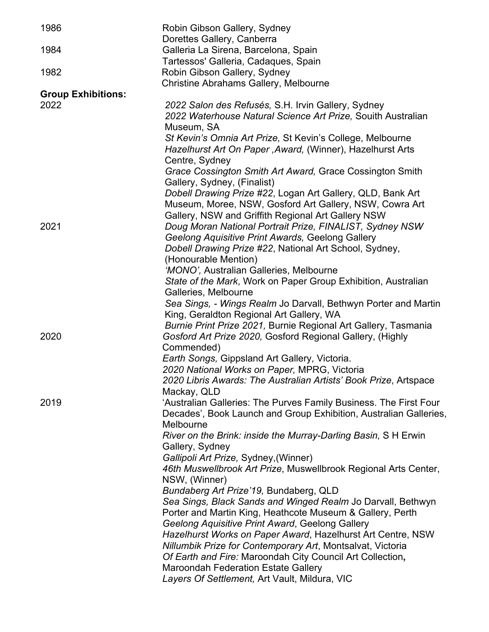| 1986                      | Robin Gibson Gallery, Sydney<br>Dorettes Gallery, Canberra        |
|---------------------------|-------------------------------------------------------------------|
| 1984                      | Galleria La Sirena, Barcelona, Spain                              |
|                           | Tartessos' Galleria, Cadaques, Spain                              |
| 1982                      | Robin Gibson Gallery, Sydney                                      |
|                           | Christine Abrahams Gallery, Melbourne                             |
| <b>Group Exhibitions:</b> |                                                                   |
| 2022                      | 2022 Salon des Refusés, S.H. Irvin Gallery, Sydney                |
|                           | 2022 Waterhouse Natural Science Art Prize, Souith Australian      |
|                           | Museum, SA                                                        |
|                           | St Kevin's Omnia Art Prize, St Kevin's College, Melbourne         |
|                           | Hazelhurst Art On Paper, Award, (Winner), Hazelhurst Arts         |
|                           | Centre, Sydney                                                    |
|                           | Grace Cossington Smith Art Award, Grace Cossington Smith          |
|                           | Gallery, Sydney, (Finalist)                                       |
|                           | Dobell Drawing Prize #22, Logan Art Gallery, QLD, Bank Art        |
|                           | Museum, Moree, NSW, Gosford Art Gallery, NSW, Cowra Art           |
|                           | Gallery, NSW and Griffith Regional Art Gallery NSW                |
| 2021                      | Doug Moran National Portrait Prize, FINALIST, Sydney NSW          |
|                           | Geelong Aquisitive Print Awards, Geelong Gallery                  |
|                           | Dobell Drawing Prize #22, National Art School, Sydney,            |
|                           | (Honourable Mention)                                              |
|                           | 'MONO', Australian Galleries, Melbourne                           |
|                           | State of the Mark, Work on Paper Group Exhibition, Australian     |
|                           | Galleries, Melbourne                                              |
|                           | Sea Sings, - Wings Realm Jo Darvall, Bethwyn Porter and Martin    |
|                           | King, Geraldton Regional Art Gallery, WA                          |
|                           | Burnie Print Prize 2021, Burnie Regional Art Gallery, Tasmania    |
| 2020                      | Gosford Art Prize 2020, Gosford Regional Gallery, (Highly         |
|                           | Commended)                                                        |
|                           | Earth Songs, Gippsland Art Gallery, Victoria.                     |
|                           | 2020 National Works on Paper, MPRG, Victoria                      |
|                           | 2020 Libris Awards: The Australian Artists' Book Prize, Artspace  |
|                           | Mackay, QLD                                                       |
| 2019                      | 'Australian Galleries: The Purves Family Business. The First Four |
|                           | Decades', Book Launch and Group Exhibition, Australian Galleries, |
|                           | Melbourne                                                         |
|                           | River on the Brink: inside the Murray-Darling Basin, S H Erwin    |
|                           | Gallery, Sydney                                                   |
|                           | Gallipoli Art Prize, Sydney, (Winner)                             |
|                           | 46th Muswellbrook Art Prize, Muswellbrook Regional Arts Center,   |
|                           | NSW, (Winner)                                                     |
|                           | Bundaberg Art Prize'19, Bundaberg, QLD                            |
|                           | Sea Sings, Black Sands and Winged Realm Jo Darvall, Bethwyn       |
|                           | Porter and Martin King, Heathcote Museum & Gallery, Perth         |
|                           | Geelong Aquisitive Print Award, Geelong Gallery                   |
|                           | Hazelhurst Works on Paper Award, Hazelhurst Art Centre, NSW       |
|                           | Nillumbik Prize for Contemporary Art, Montsalvat, Victoria        |
|                           | Of Earth and Fire: Maroondah City Council Art Collection,         |
|                           | <b>Maroondah Federation Estate Gallery</b>                        |
|                           | Layers Of Settlement, Art Vault, Mildura, VIC                     |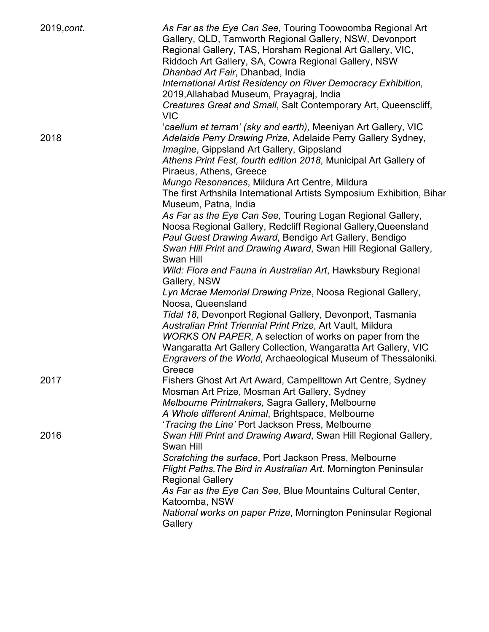| 2019, cont. | As Far as the Eye Can See, Touring Toowoomba Regional Art<br>Gallery, QLD, Tamworth Regional Gallery, NSW, Devonport<br>Regional Gallery, TAS, Horsham Regional Art Gallery, VIC,<br>Riddoch Art Gallery, SA, Cowra Regional Gallery, NSW<br>Dhanbad Art Fair, Dhanbad, India<br>International Artist Residency on River Democracy Exhibition,<br>2019, Allahabad Museum, Prayagraj, India |
|-------------|--------------------------------------------------------------------------------------------------------------------------------------------------------------------------------------------------------------------------------------------------------------------------------------------------------------------------------------------------------------------------------------------|
|             | Creatures Great and Small, Salt Contemporary Art, Queenscliff,<br>VIC                                                                                                                                                                                                                                                                                                                      |
| 2018        | 'caellum et terram' (sky and earth), Meeniyan Art Gallery, VIC<br>Adelaide Perry Drawing Prize, Adelaide Perry Gallery Sydney,<br>Imagine, Gippsland Art Gallery, Gippsland<br>Athens Print Fest, fourth edition 2018, Municipal Art Gallery of<br>Piraeus, Athens, Greece                                                                                                                 |
|             | Mungo Resonances, Mildura Art Centre, Mildura<br>The first Arthshila International Artists Symposium Exhibition, Bihar<br>Museum, Patna, India                                                                                                                                                                                                                                             |
|             | As Far as the Eye Can See, Touring Logan Regional Gallery,<br>Noosa Regional Gallery, Redcliff Regional Gallery, Queensland<br>Paul Guest Drawing Award, Bendigo Art Gallery, Bendigo<br>Swan Hill Print and Drawing Award, Swan Hill Regional Gallery,                                                                                                                                    |
|             | Swan Hill<br>Wild: Flora and Fauna in Australian Art, Hawksbury Regional<br>Gallery, NSW                                                                                                                                                                                                                                                                                                   |
|             | Lyn Mcrae Memorial Drawing Prize, Noosa Regional Gallery,<br>Noosa, Queensland                                                                                                                                                                                                                                                                                                             |
|             | Tidal 18, Devonport Regional Gallery, Devonport, Tasmania<br>Australian Print Triennial Print Prize, Art Vault, Mildura<br>WORKS ON PAPER, A selection of works on paper from the<br>Wangaratta Art Gallery Collection, Wangaratta Art Gallery, VIC<br>Engravers of the World, Archaeological Museum of Thessaloniki.<br>Greece                                                            |
| 2017        | Fishers Ghost Art Art Award, Campelltown Art Centre, Sydney<br>Mosman Art Prize, Mosman Art Gallery, Sydney<br>Melbourne Printmakers, Sagra Gallery, Melbourne<br>A Whole different Animal, Brightspace, Melbourne<br>'Tracing the Line' Port Jackson Press, Melbourne                                                                                                                     |
| 2016        | Swan Hill Print and Drawing Award, Swan Hill Regional Gallery,<br>Swan Hill<br>Scratching the surface, Port Jackson Press, Melbourne                                                                                                                                                                                                                                                       |
|             | Flight Paths, The Bird in Australian Art. Mornington Peninsular<br><b>Regional Gallery</b>                                                                                                                                                                                                                                                                                                 |
|             | As Far as the Eye Can See, Blue Mountains Cultural Center,<br>Katoomba, NSW                                                                                                                                                                                                                                                                                                                |
|             | National works on paper Prize, Mornington Peninsular Regional<br>Gallery                                                                                                                                                                                                                                                                                                                   |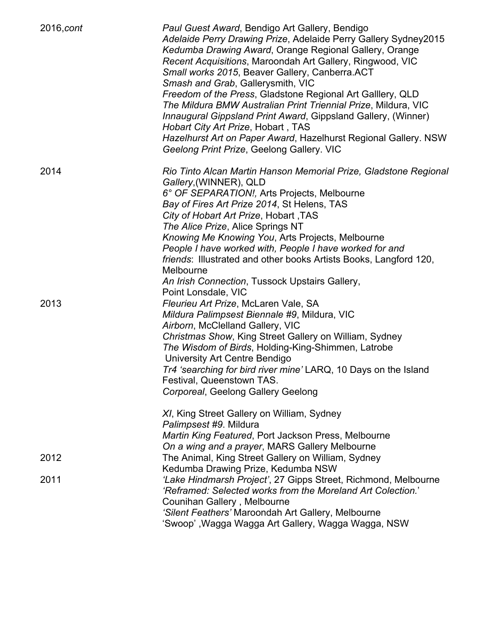| 2016, cont | Paul Guest Award, Bendigo Art Gallery, Bendigo<br>Adelaide Perry Drawing Prize, Adelaide Perry Gallery Sydney2015<br>Kedumba Drawing Award, Orange Regional Gallery, Orange<br>Recent Acquisitions, Maroondah Art Gallery, Ringwood, VIC<br>Small works 2015, Beaver Gallery, Canberra.ACT<br>Smash and Grab, Gallerysmith, VIC<br>Freedom of the Press, Gladstone Regional Art Galllery, QLD<br>The Mildura BMW Australian Print Triennial Prize, Mildura, VIC<br>Innaugural Gippsland Print Award, Gippsland Gallery, (Winner)<br>Hobart City Art Prize, Hobart, TAS<br>Hazelhurst Art on Paper Award, Hazelhurst Regional Gallery. NSW<br>Geelong Print Prize, Geelong Gallery. VIC |
|------------|----------------------------------------------------------------------------------------------------------------------------------------------------------------------------------------------------------------------------------------------------------------------------------------------------------------------------------------------------------------------------------------------------------------------------------------------------------------------------------------------------------------------------------------------------------------------------------------------------------------------------------------------------------------------------------------|
| 2014       | Rio Tinto Alcan Martin Hanson Memorial Prize, Gladstone Regional<br>Gallery, (WINNER), QLD<br>6° OF SEPARATION!, Arts Projects, Melbourne<br>Bay of Fires Art Prize 2014, St Helens, TAS<br>City of Hobart Art Prize, Hobart, TAS<br>The Alice Prize, Alice Springs NT<br>Knowing Me Knowing You, Arts Projects, Melbourne<br>People I have worked with, People I have worked for and<br>friends: Illustrated and other books Artists Books, Langford 120,<br>Melbourne<br>An Irish Connection, Tussock Upstairs Gallery,                                                                                                                                                              |
| 2013       | Point Lonsdale, VIC<br>Fleurieu Art Prize, McLaren Vale, SA<br>Mildura Palimpsest Biennale #9, Mildura, VIC<br>Airborn, McClelland Gallery, VIC<br>Christmas Show, King Street Gallery on William, Sydney<br>The Wisdom of Birds, Holding-King-Shimmen, Latrobe<br>University Art Centre Bendigo<br>Tr4 'searching for bird river mine' LARQ, 10 Days on the Island<br>Festival, Queenstown TAS.<br>Corporeal, Geelong Gallery Geelong<br>XI, King Street Gallery on William, Sydney<br>Palimpsest #9. Mildura<br>Martin King Featured, Port Jackson Press, Melbourne                                                                                                                  |
| 2012       | On a wing and a prayer, MARS Gallery Melbourne<br>The Animal, King Street Gallery on William, Sydney                                                                                                                                                                                                                                                                                                                                                                                                                                                                                                                                                                                   |
| 2011       | Kedumba Drawing Prize, Kedumba NSW<br>'Lake Hindmarsh Project', 27 Gipps Street, Richmond, Melbourne<br>'Reframed: Selected works from the Moreland Art Colection.'<br>Counihan Gallery, Melbourne<br>'Silent Feathers' Maroondah Art Gallery, Melbourne<br>'Swoop' ,Wagga Wagga Art Gallery, Wagga Wagga, NSW                                                                                                                                                                                                                                                                                                                                                                         |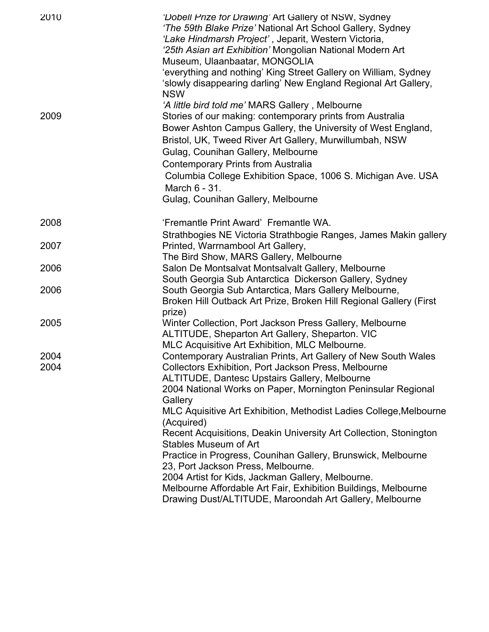| 2010         | 'Dobell Prize for Drawing' Art Gallery of NSW, Sydney<br>'The 59th Blake Prize' National Art School Gallery, Sydney<br>'Lake Hindmarsh Project', Jeparit, Western Victoria,<br>'25th Asian art Exhibition' Mongolian National Modern Art<br>Museum, Ulaanbaatar, MONGOLIA<br>'everything and nothing' King Street Gallery on William, Sydney<br>'slowly disappearing darling' New England Regional Art Gallery,<br><b>NSW</b>                                                                                                                                                                                                                                            |
|--------------|--------------------------------------------------------------------------------------------------------------------------------------------------------------------------------------------------------------------------------------------------------------------------------------------------------------------------------------------------------------------------------------------------------------------------------------------------------------------------------------------------------------------------------------------------------------------------------------------------------------------------------------------------------------------------|
| 2009         | 'A little bird told me' MARS Gallery, Melbourne<br>Stories of our making: contemporary prints from Australia<br>Bower Ashton Campus Gallery, the University of West England,<br>Bristol, UK, Tweed River Art Gallery, Murwillumbah, NSW<br>Gulag, Counihan Gallery, Melbourne<br><b>Contemporary Prints from Australia</b><br>Columbia College Exhibition Space, 1006 S. Michigan Ave. USA<br>March 6 - 31.<br>Gulag, Counihan Gallery, Melbourne                                                                                                                                                                                                                        |
|              |                                                                                                                                                                                                                                                                                                                                                                                                                                                                                                                                                                                                                                                                          |
| 2008         | 'Fremantle Print Award' Fremantle WA.<br>Strathbogies NE Victoria Strathbogie Ranges, James Makin gallery                                                                                                                                                                                                                                                                                                                                                                                                                                                                                                                                                                |
| 2007         | Printed, Warrnambool Art Gallery,<br>The Bird Show, MARS Gallery, Melbourne                                                                                                                                                                                                                                                                                                                                                                                                                                                                                                                                                                                              |
| 2006         | Salon De Montsalvat Montsalvalt Gallery, Melbourne<br>South Georgia Sub Antarctica Dickerson Gallery, Sydney                                                                                                                                                                                                                                                                                                                                                                                                                                                                                                                                                             |
| 2006         | South Georgia Sub Antarctica, Mars Gallery Melbourne,<br>Broken Hill Outback Art Prize, Broken Hill Regional Gallery (First<br>prize)                                                                                                                                                                                                                                                                                                                                                                                                                                                                                                                                    |
| 2005         | Winter Collection, Port Jackson Press Gallery, Melbourne<br>ALTITUDE, Sheparton Art Gallery, Sheparton. VIC<br>MLC Acquisitive Art Exhibition, MLC Melbourne.                                                                                                                                                                                                                                                                                                                                                                                                                                                                                                            |
| 2004<br>2004 | Contemporary Australian Prints, Art Gallery of New South Wales<br>Collectors Exhibition, Port Jackson Press, Melbourne<br><b>ALTITUDE, Dantesc Upstairs Gallery, Melbourne</b><br>2004 National Works on Paper, Mornington Peninsular Regional<br>Gallery<br>MLC Aquisitive Art Exhibition, Methodist Ladies College, Melbourne<br>(Acquired)<br>Recent Acquisitions, Deakin University Art Collection, Stonington<br>Stables Museum of Art<br>Practice in Progress, Counihan Gallery, Brunswick, Melbourne<br>23, Port Jackson Press, Melbourne.<br>2004 Artist for Kids, Jackman Gallery, Melbourne.<br>Melbourne Affordable Art Fair, Exhibition Buildings, Melbourne |
|              | Drawing Dust/ALTITUDE, Maroondah Art Gallery, Melbourne                                                                                                                                                                                                                                                                                                                                                                                                                                                                                                                                                                                                                  |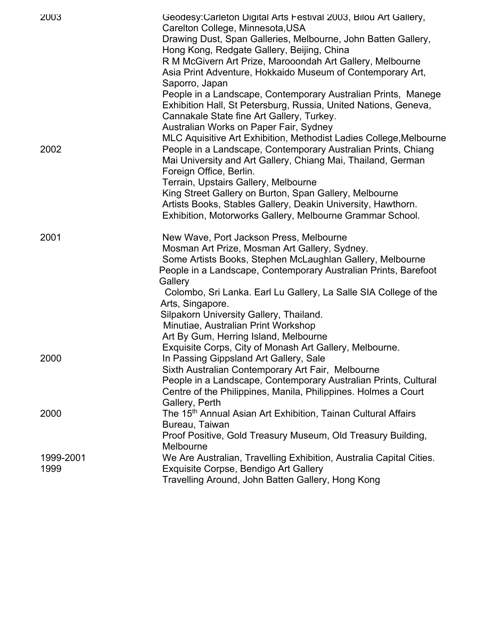| 2003              | Geodesy: Carleton Digital Arts Festival 2003, Bilou Art Gallery,<br>Carelton College, Minnesota, USA<br>Drawing Dust, Span Galleries, Melbourne, John Batten Gallery,<br>Hong Kong, Redgate Gallery, Beijing, China<br>R M McGivern Art Prize, Marooondah Art Gallery, Melbourne<br>Asia Print Adventure, Hokkaido Museum of Contemporary Art,<br>Saporro, Japan |
|-------------------|------------------------------------------------------------------------------------------------------------------------------------------------------------------------------------------------------------------------------------------------------------------------------------------------------------------------------------------------------------------|
|                   | People in a Landscape, Contemporary Australian Prints, Manege<br>Exhibition Hall, St Petersburg, Russia, United Nations, Geneva,<br>Cannakale State fine Art Gallery, Turkey.<br>Australian Works on Paper Fair, Sydney                                                                                                                                          |
| 2002              | MLC Aquisitive Art Exhibition, Methodist Ladies College, Melbourne<br>People in a Landscape, Contemporary Australian Prints, Chiang<br>Mai University and Art Gallery, Chiang Mai, Thailand, German<br>Foreign Office, Berlin.                                                                                                                                   |
|                   | Terrain, Upstairs Gallery, Melbourne<br>King Street Gallery on Burton, Span Gallery, Melbourne<br>Artists Books, Stables Gallery, Deakin University, Hawthorn.<br>Exhibition, Motorworks Gallery, Melbourne Grammar School.                                                                                                                                      |
| 2001              | New Wave, Port Jackson Press, Melbourne<br>Mosman Art Prize, Mosman Art Gallery, Sydney.<br>Some Artists Books, Stephen McLaughlan Gallery, Melbourne<br>People in a Landscape, Contemporary Australian Prints, Barefoot<br>Gallery                                                                                                                              |
|                   | Colombo, Sri Lanka. Earl Lu Gallery, La Salle SIA College of the<br>Arts, Singapore.<br>Silpakorn University Gallery, Thailand.                                                                                                                                                                                                                                  |
|                   | Minutiae, Australian Print Workshop<br>Art By Gum, Herring Island, Melbourne<br>Exquisite Corps, City of Monash Art Gallery, Melbourne.                                                                                                                                                                                                                          |
| 2000              | In Passing Gippsland Art Gallery, Sale<br>Sixth Australian Contemporary Art Fair, Melbourne<br>People in a Landscape, Contemporary Australian Prints, Cultural<br>Centre of the Philippines, Manila, Philippines. Holmes a Court                                                                                                                                 |
| 2000              | Gallery, Perth<br>The 15 <sup>th</sup> Annual Asian Art Exhibition, Tainan Cultural Affairs<br>Bureau, Taiwan<br>Proof Positive, Gold Treasury Museum, Old Treasury Building,                                                                                                                                                                                    |
| 1999-2001<br>1999 | Melbourne<br>We Are Australian, Travelling Exhibition, Australia Capital Cities.<br>Exquisite Corpse, Bendigo Art Gallery<br>Travelling Around, John Batten Gallery, Hong Kong                                                                                                                                                                                   |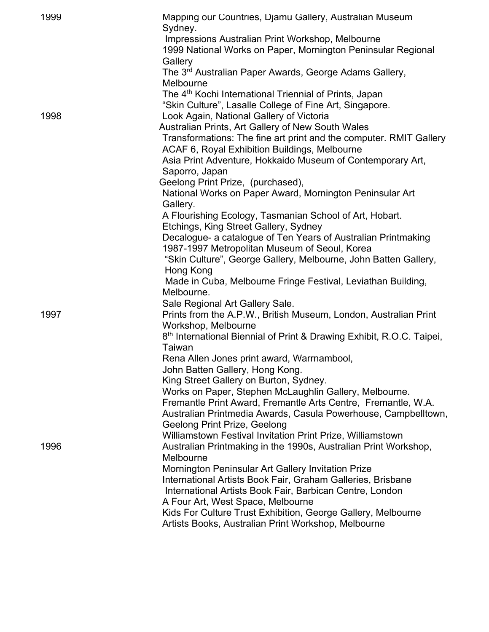| 1999 | Mapping our Countries, Djamu Gallery, Australian Museum<br>Sydney.                                                          |
|------|-----------------------------------------------------------------------------------------------------------------------------|
|      | Impressions Australian Print Workshop, Melbourne<br>1999 National Works on Paper, Mornington Peninsular Regional<br>Gallery |
|      | The 3 <sup>rd</sup> Australian Paper Awards, George Adams Gallery,<br>Melbourne                                             |
|      | The 4 <sup>th</sup> Kochi International Triennial of Prints, Japan                                                          |
|      | "Skin Culture", Lasalle College of Fine Art, Singapore.                                                                     |
| 1998 | Look Again, National Gallery of Victoria                                                                                    |
|      | Australian Prints, Art Gallery of New South Wales                                                                           |
|      | Transformations: The fine art print and the computer. RMIT Gallery                                                          |
|      | ACAF 6, Royal Exhibition Buildings, Melbourne                                                                               |
|      | Asia Print Adventure, Hokkaido Museum of Contemporary Art,                                                                  |
|      | Saporro, Japan                                                                                                              |
|      | Geelong Print Prize, (purchased),                                                                                           |
|      | National Works on Paper Award, Mornington Peninsular Art<br>Gallery.                                                        |
|      | A Flourishing Ecology, Tasmanian School of Art, Hobart.                                                                     |
|      | Etchings, King Street Gallery, Sydney                                                                                       |
|      | Decalogue- a catalogue of Ten Years of Australian Printmaking                                                               |
|      | 1987-1997 Metropolitan Museum of Seoul, Korea                                                                               |
|      | "Skin Culture", George Gallery, Melbourne, John Batten Gallery,<br>Hong Kong                                                |
|      | Made in Cuba, Melbourne Fringe Festival, Leviathan Building,                                                                |
|      | Melbourne.                                                                                                                  |
|      | Sale Regional Art Gallery Sale.                                                                                             |
| 1997 | Prints from the A.P.W., British Museum, London, Australian Print                                                            |
|      | Workshop, Melbourne                                                                                                         |
|      | 8 <sup>th</sup> International Biennial of Print & Drawing Exhibit, R.O.C. Taipei,                                           |
|      | Taiwan                                                                                                                      |
|      | Rena Allen Jones print award, Warrnambool,                                                                                  |
|      | John Batten Gallery, Hong Kong.                                                                                             |
|      | King Street Gallery on Burton, Sydney.                                                                                      |
|      | Works on Paper, Stephen McLaughlin Gallery, Melbourne.                                                                      |
|      | Fremantle Print Award, Fremantle Arts Centre, Fremantle, W.A.                                                               |
|      | Australian Printmedia Awards, Casula Powerhouse, Campbelltown,<br><b>Geelong Print Prize, Geelong</b>                       |
|      | Williamstown Festival Invitation Print Prize, Williamstown                                                                  |
| 1996 | Australian Printmaking in the 1990s, Australian Print Workshop,                                                             |
|      | Melbourne                                                                                                                   |
|      | Mornington Peninsular Art Gallery Invitation Prize                                                                          |
|      | International Artists Book Fair, Graham Galleries, Brisbane                                                                 |
|      | International Artists Book Fair, Barbican Centre, London                                                                    |
|      | A Four Art, West Space, Melbourne                                                                                           |
|      | Kids For Culture Trust Exhibition, George Gallery, Melbourne                                                                |
|      | Artists Books, Australian Print Workshop, Melbourne                                                                         |
|      |                                                                                                                             |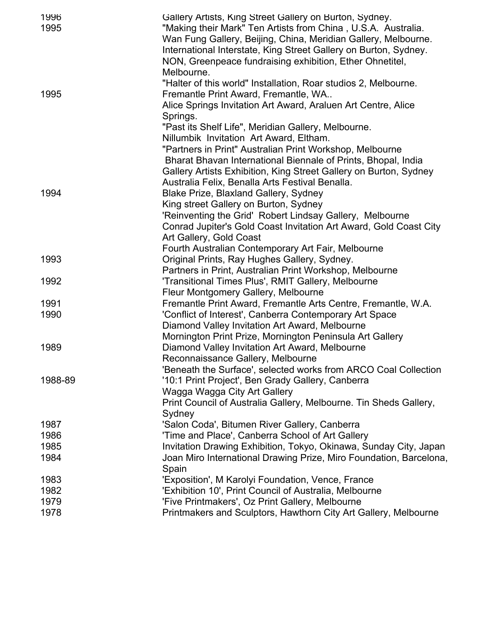| 1996<br>1995 | Gallery Artists, King Street Gallery on Burton, Sydney.<br>"Making their Mark" Ten Artists from China, U.S.A. Australia.<br>Wan Fung Gallery, Beijing, China, Meridian Gallery, Melbourne.<br>International Interstate, King Street Gallery on Burton, Sydney.<br>NON, Greenpeace fundraising exhibition, Ether Ohnetitel,<br>Melbourne. |
|--------------|------------------------------------------------------------------------------------------------------------------------------------------------------------------------------------------------------------------------------------------------------------------------------------------------------------------------------------------|
| 1995         | "Halter of this world" Installation, Roar studios 2, Melbourne.<br>Fremantle Print Award, Fremantle, WA<br>Alice Springs Invitation Art Award, Araluen Art Centre, Alice<br>Springs.                                                                                                                                                     |
|              | "Past its Shelf Life", Meridian Gallery, Melbourne.<br>Nillumbik Invitation Art Award, Eltham.<br>"Partners in Print" Australian Print Workshop, Melbourne<br>Bharat Bhavan International Biennale of Prints, Bhopal, India<br>Gallery Artists Exhibition, King Street Gallery on Burton, Sydney                                         |
|              | Australia Felix, Benalla Arts Festival Benalla.                                                                                                                                                                                                                                                                                          |
| 1994         | Blake Prize, Blaxland Gallery, Sydney                                                                                                                                                                                                                                                                                                    |
|              | King street Gallery on Burton, Sydney                                                                                                                                                                                                                                                                                                    |
|              | 'Reinventing the Grid' Robert Lindsay Gallery, Melbourne                                                                                                                                                                                                                                                                                 |
|              | Conrad Jupiter's Gold Coast Invitation Art Award, Gold Coast City                                                                                                                                                                                                                                                                        |
|              | Art Gallery, Gold Coast                                                                                                                                                                                                                                                                                                                  |
|              | Fourth Australian Contemporary Art Fair, Melbourne                                                                                                                                                                                                                                                                                       |
| 1993         | Original Prints, Ray Hughes Gallery, Sydney.                                                                                                                                                                                                                                                                                             |
|              | Partners in Print, Australian Print Workshop, Melbourne                                                                                                                                                                                                                                                                                  |
| 1992         | 'Transitional Times Plus', RMIT Gallery, Melbourne                                                                                                                                                                                                                                                                                       |
|              | Fleur Montgomery Gallery, Melbourne                                                                                                                                                                                                                                                                                                      |
| 1991         | Fremantle Print Award, Fremantle Arts Centre, Fremantle, W.A.                                                                                                                                                                                                                                                                            |
| 1990         | 'Conflict of Interest', Canberra Contemporary Art Space                                                                                                                                                                                                                                                                                  |
|              | Diamond Valley Invitation Art Award, Melbourne                                                                                                                                                                                                                                                                                           |
|              | Mornington Print Prize, Mornington Peninsula Art Gallery                                                                                                                                                                                                                                                                                 |
| 1989         | Diamond Valley Invitation Art Award, Melbourne                                                                                                                                                                                                                                                                                           |
|              | Reconnaissance Gallery, Melbourne                                                                                                                                                                                                                                                                                                        |
|              | 'Beneath the Surface', selected works from ARCO Coal Collection                                                                                                                                                                                                                                                                          |
| 1988-89      | '10:1 Print Project', Ben Grady Gallery, Canberra                                                                                                                                                                                                                                                                                        |
|              | Wagga Wagga City Art Gallery<br>Print Council of Australia Gallery, Melbourne. Tin Sheds Gallery,                                                                                                                                                                                                                                        |
|              | Sydney                                                                                                                                                                                                                                                                                                                                   |
| 1987         | 'Salon Coda', Bitumen River Gallery, Canberra                                                                                                                                                                                                                                                                                            |
| 1986         | 'Time and Place', Canberra School of Art Gallery                                                                                                                                                                                                                                                                                         |
| 1985         | Invitation Drawing Exhibition, Tokyo, Okinawa, Sunday City, Japan                                                                                                                                                                                                                                                                        |
| 1984         | Joan Miro International Drawing Prize, Miro Foundation, Barcelona,                                                                                                                                                                                                                                                                       |
|              | Spain                                                                                                                                                                                                                                                                                                                                    |
| 1983         | 'Exposition', M Karolyi Foundation, Vence, France                                                                                                                                                                                                                                                                                        |
| 1982         | 'Exhibition 10', Print Council of Australia, Melbourne                                                                                                                                                                                                                                                                                   |
| 1979         | 'Five Printmakers', Oz Print Gallery, Melbourne                                                                                                                                                                                                                                                                                          |
| 1978         | Printmakers and Sculptors, Hawthorn City Art Gallery, Melbourne                                                                                                                                                                                                                                                                          |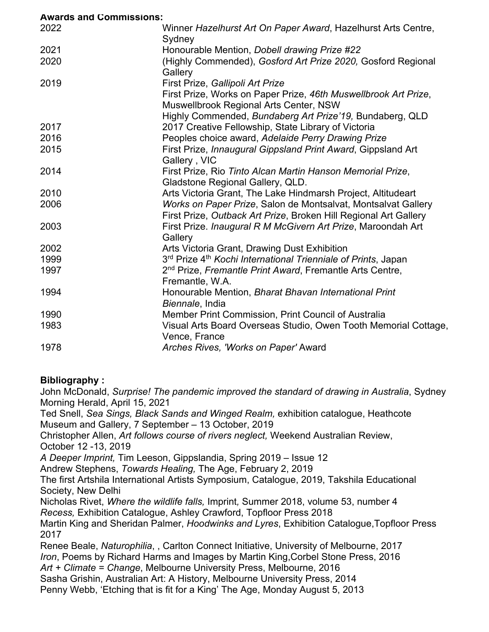| <b>Awards and Commissions:</b> |                                                                           |
|--------------------------------|---------------------------------------------------------------------------|
| 2022                           | Winner Hazelhurst Art On Paper Award, Hazelhurst Arts Centre,             |
|                                | Sydney                                                                    |
| 2021                           | Honourable Mention, Dobell drawing Prize #22                              |
| 2020                           | (Highly Commended), Gosford Art Prize 2020, Gosford Regional              |
|                                | Gallery                                                                   |
| 2019                           | First Prize, Gallipoli Art Prize                                          |
|                                | First Prize, Works on Paper Prize, 46th Muswellbrook Art Prize,           |
|                                | Muswellbrook Regional Arts Center, NSW                                    |
|                                | Highly Commended, Bundaberg Art Prize'19, Bundaberg, QLD                  |
| 2017                           | 2017 Creative Fellowship, State Library of Victoria                       |
| 2016                           | Peoples choice award, Adelaide Perry Drawing Prize                        |
| 2015                           | First Prize, Innaugural Gippsland Print Award, Gippsland Art              |
|                                | Gallery, VIC                                                              |
| 2014                           | First Prize, Rio Tinto Alcan Martin Hanson Memorial Prize,                |
|                                | Gladstone Regional Gallery, QLD.                                          |
| 2010                           | Arts Victoria Grant, The Lake Hindmarsh Project, Altitudeart              |
| 2006                           | Works on Paper Prize, Salon de Montsalvat, Montsalvat Gallery             |
|                                | First Prize, Outback Art Prize, Broken Hill Regional Art Gallery          |
| 2003                           | First Prize. Inaugural R M McGivern Art Prize, Maroondah Art              |
|                                | Gallery                                                                   |
| 2002                           | Arts Victoria Grant, Drawing Dust Exhibition                              |
| 1999                           | 3rd Prize 4 <sup>th</sup> Kochi International Trienniale of Prints, Japan |
| 1997                           | 2 <sup>nd</sup> Prize, Fremantle Print Award, Fremantle Arts Centre,      |
|                                | Fremantle, W.A.                                                           |
| 1994                           | Honourable Mention, Bharat Bhavan International Print                     |
|                                | Biennale, India                                                           |
| 1990                           | Member Print Commission, Print Council of Australia                       |
| 1983                           | Visual Arts Board Overseas Studio, Owen Tooth Memorial Cottage,           |
|                                | Vence, France                                                             |
| 1978                           | Arches Rives, 'Works on Paper' Award                                      |

## **Bibliography :**

John McDonald, *Surprise! The pandemic improved the standard of drawing in Australia*, Sydney Morning Herald, April 15, 2021

Ted Snell, *Sea Sings, Black Sands and Winged Realm,* exhibition catalogue, Heathcote Museum and Gallery, 7 September – 13 October, 2019

Christopher Allen, *Art follows course of rivers neglect,* Weekend Australian Review, October 12 -13, 2019

*A Deeper Imprint,* Tim Leeson, Gippslandia, Spring 2019 – Issue 12

Andrew Stephens, *Towards Healing,* The Age, February 2, 2019

The first Artshila International Artists Symposium, Catalogue, 2019, Takshila Educational Society, New Delhi

Nicholas Rivet, *Where the wildlife falls,* Imprint*,* Summer 2018, volume 53, number 4 *Recess,* Exhibition Catalogue, Ashley Crawford, Topfloor Press 2018

Martin King and Sheridan Palmer, *Hoodwinks and Lyres*, Exhibition Catalogue,Topfloor Press 2017

Renee Beale, *Naturophilia*, , Carlton Connect Initiative, University of Melbourne, 2017 *Iron*, Poems by Richard Harms and Images by Martin King,Corbel Stone Press, 2016 *Art + Climate = Change*, Melbourne University Press, Melbourne, 2016 Sasha Grishin, Australian Art: A History, Melbourne University Press, 2014

Penny Webb, 'Etching that is fit for a King' The Age, Monday August 5, 2013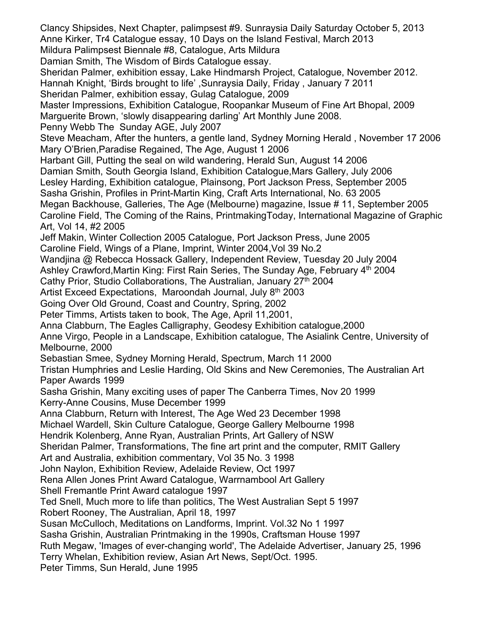Clancy Shipsides, Next Chapter, palimpsest #9. Sunraysia Daily Saturday October 5, 2013 Anne Kirker, Tr4 Catalogue essay, 10 Days on the Island Festival, March 2013 Mildura Palimpsest Biennale #8, Catalogue, Arts Mildura Damian Smith, The Wisdom of Birds Catalogue essay. Sheridan Palmer, exhibition essay, Lake Hindmarsh Project, Catalogue, November 2012. Hannah Knight, 'Birds brought to life' ,Sunraysia Daily, Friday , January 7 2011 Sheridan Palmer, exhibition essay, Gulag Catalogue, 2009 Master Impressions, Exhibition Catalogue, Roopankar Museum of Fine Art Bhopal, 2009 Marguerite Brown, 'slowly disappearing darling' Art Monthly June 2008. Penny Webb The Sunday AGE, July 2007 Steve Meacham, After the hunters, a gentle land, Sydney Morning Herald , November 17 2006 Mary O'Brien,Paradise Regained, The Age, August 1 2006 Harbant Gill, Putting the seal on wild wandering, Herald Sun, August 14 2006 Damian Smith, South Georgia Island, Exhibition Catalogue,Mars Gallery, July 2006 Lesley Harding, Exhibition catalogue, Plainsong, Port Jackson Press, September 2005 Sasha Grishin, Profiles in Print-Martin King, Craft Arts International, No. 63 2005 Megan Backhouse, Galleries, The Age (Melbourne) magazine, Issue # 11, September 2005 Caroline Field, The Coming of the Rains, PrintmakingToday, International Magazine of Graphic Art, Vol 14, #2 2005 Jeff Makin, Winter Collection 2005 Catalogue, Port Jackson Press, June 2005 Caroline Field, Wings of a Plane, Imprint, Winter 2004,Vol 39 No.2 Wandjina @ Rebecca Hossack Gallery, Independent Review, Tuesday 20 July 2004 Ashley Crawford, Martin King: First Rain Series, The Sunday Age, February 4<sup>th</sup> 2004 Cathy Prior, Studio Collaborations, The Australian, January 27<sup>th</sup> 2004 Artist Exceed Expectations, Maroondah Journal, July 8<sup>th</sup> 2003 Going Over Old Ground, Coast and Country, Spring, 2002 Peter Timms, Artists taken to book, The Age, April 11,2001, Anna Clabburn, The Eagles Calligraphy, Geodesy Exhibition catalogue,2000 Anne Virgo, People in a Landscape, Exhibition catalogue, The Asialink Centre, University of Melbourne, 2000 Sebastian Smee, Sydney Morning Herald, Spectrum, March 11 2000 Tristan Humphries and Leslie Harding, Old Skins and New Ceremonies, The Australian Art Paper Awards 1999 Sasha Grishin, Many exciting uses of paper The Canberra Times, Nov 20 1999 Kerry-Anne Cousins, Muse December 1999 Anna Clabburn, Return with Interest, The Age Wed 23 December 1998 Michael Wardell, Skin Culture Catalogue, George Gallery Melbourne 1998 Hendrik Kolenberg, Anne Ryan, Australian Prints, Art Gallery of NSW Sheridan Palmer, Transformations, The fine art print and the computer, RMIT Gallery Art and Australia, exhibition commentary, Vol 35 No. 3 1998 John Naylon, Exhibition Review, Adelaide Review, Oct 1997 Rena Allen Jones Print Award Catalogue, Warrnambool Art Gallery Shell Fremantle Print Award catalogue 1997 Ted Snell, Much more to life than politics, The West Australian Sept 5 1997 Robert Rooney, The Australian, April 18, 1997 Susan McCulloch, Meditations on Landforms, Imprint. Vol.32 No 1 1997 Sasha Grishin, Australian Printmaking in the 1990s, Craftsman House 1997 Ruth Megaw, 'Images of ever-changing world', The Adelaide Advertiser, January 25, 1996 Terry Whelan, Exhibition review, Asian Art News, Sept/Oct. 1995. Peter Timms, Sun Herald, June 1995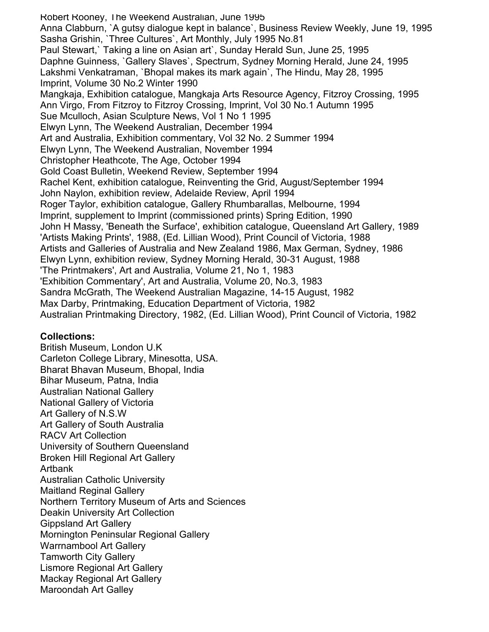Robert Rooney, The Weekend Australian, June 1995 Anna Clabburn, `A gutsy dialogue kept in balance`, Business Review Weekly, June 19, 1995 Sasha Grishin, `Three Cultures`, Art Monthly, July 1995 No.81 Paul Stewart,` Taking a line on Asian art`, Sunday Herald Sun, June 25, 1995 Daphne Guinness, `Gallery Slaves`, Spectrum, Sydney Morning Herald, June 24, 1995 Lakshmi Venkatraman, `Bhopal makes its mark again`, The Hindu, May 28, 1995 Imprint, Volume 30 No.2 Winter 1990 Mangkaja, Exhibition catalogue, Mangkaja Arts Resource Agency, Fitzroy Crossing, 1995 Ann Virgo, From Fitzroy to Fitzroy Crossing, Imprint, Vol 30 No.1 Autumn 1995 Sue Mculloch, Asian Sculpture News, Vol 1 No 1 1995 Elwyn Lynn, The Weekend Australian, December 1994 Art and Australia, Exhibition commentary, Vol 32 No. 2 Summer 1994 Elwyn Lynn, The Weekend Australian, November 1994 Christopher Heathcote, The Age, October 1994 Gold Coast Bulletin, Weekend Review, September 1994 Rachel Kent, exhibition catalogue, Reinventing the Grid, August/September 1994 John Naylon, exhibition review, Adelaide Review, April 1994 Roger Taylor, exhibition catalogue, Gallery Rhumbarallas, Melbourne, 1994 Imprint, supplement to Imprint (commissioned prints) Spring Edition, 1990 John H Massy, 'Beneath the Surface', exhibition catalogue, Queensland Art Gallery, 1989 'Artists Making Prints', 1988, (Ed. Lillian Wood), Print Council of Victoria, 1988 Artists and Galleries of Australia and New Zealand 1986, Max German, Sydney, 1986 Elwyn Lynn, exhibition review, Sydney Morning Herald, 30-31 August, 1988 'The Printmakers', Art and Australia, Volume 21, No 1, 1983 'Exhibition Commentary', Art and Australia, Volume 20, No.3, 1983 Sandra McGrath, The Weekend Australian Magazine, 14-15 August, 1982 Max Darby, Printmaking, Education Department of Victoria, 1982 Australian Printmaking Directory, 1982, (Ed. Lillian Wood), Print Council of Victoria, 1982

## **Collections:**

British Museum, London U.K Carleton College Library, Minesotta, USA. Bharat Bhavan Museum, Bhopal, India Bihar Museum, Patna, India Australian National Gallery National Gallery of Victoria Art Gallery of N.S.W Art Gallery of South Australia RACV Art Collection University of Southern Queensland Broken Hill Regional Art Gallery Artbank Australian Catholic University Maitland Reginal Gallery Northern Territory Museum of Arts and Sciences Deakin University Art Collection Gippsland Art Gallery Mornington Peninsular Regional Gallery Warrnambool Art Gallery Tamworth City Gallery Lismore Regional Art Gallery Mackay Regional Art Gallery Maroondah Art Galley